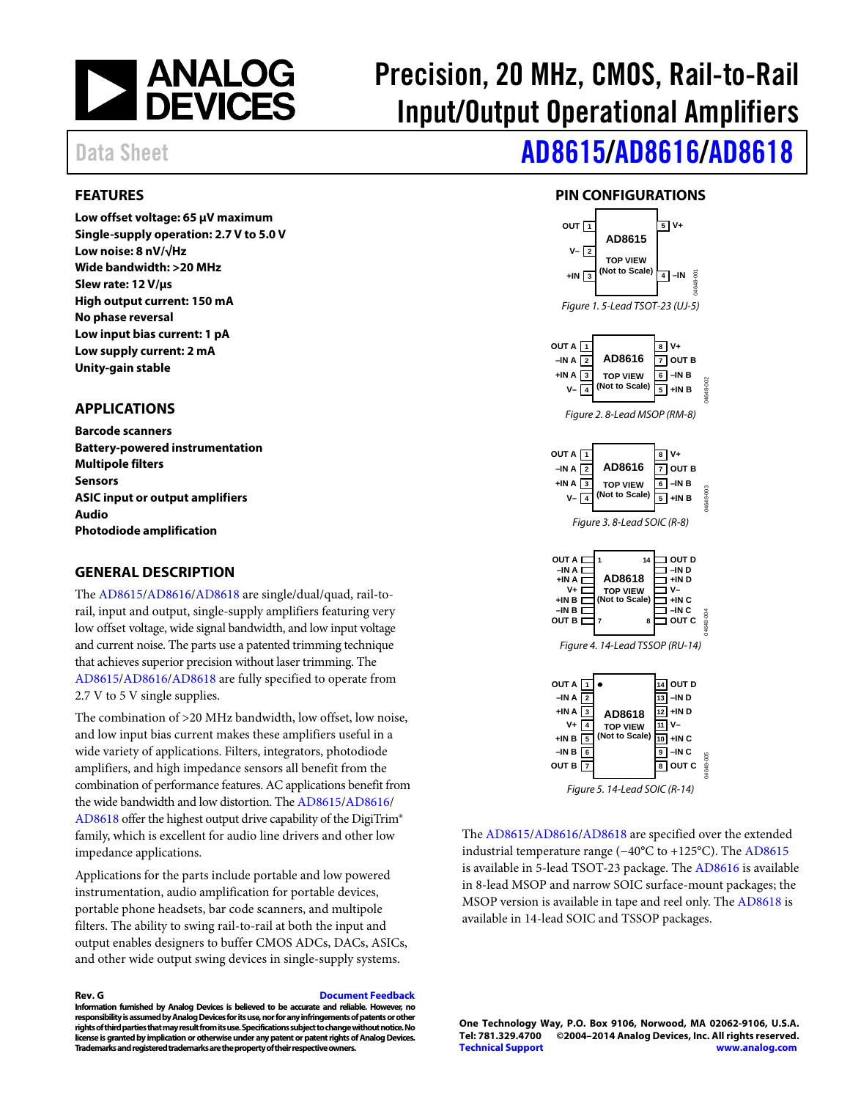

# Precision, 20 MHz, CMOS, Rail-to-Rail Input/Output Operational Amplifiers

# Data Sheet **[AD8615/](http://www.analog.com/AD8615?oc=AD8615_8616_8618.pdf)[AD8616](http://www.analog.com/AD8616?doc=AD8615_8616_8618.pdf)[/AD8618](http://www.analog.com/AD8618?doc=AD8615_8616_8618.pdf)**

## <span id="page-0-0"></span>**FEATURES**

**Low offset voltage: 65 μV maximum Single-supply operation: 2.7 V to 5.0 V Low noise: 8 nV/√Hz Wide bandwidth: >20 MHz Slew rate: 12 V/μs High output current: 150 mA No phase reversal Low input bias current: 1 pA Low supply current: 2 mA Unity-gain stable** 

## <span id="page-0-1"></span>**APPLICATIONS**

**Barcode scanners Battery-powered instrumentation Multipole filters Sensors ASIC input or output amplifiers Audio Photodiode amplification** 

### <span id="page-0-2"></span>**GENERAL DESCRIPTION**

The [AD8615/](http://www.analog.com/AD8615?doc=AD8615_8616_8618.pdf)[AD8616/](http://www.analog.com/AD8616?doc=AD8615_8616_8618.pdf)[AD8618 a](http://www.analog.com/AD8618?doc=AD8615_8616_8618.pdf)re single/dual/quad, rail**-**torail, input and output, single-supply amplifiers featuring very low offset voltage, wide signal bandwidth, and low input voltage and current noise. The parts use a patented trimming technique that achieves superior precision without laser trimming. The [AD8615/](http://www.analog.com/AD8615?doc=AD8615_8616_8618.pdf)[AD8616/](http://www.analog.com/AD8616?doc=AD8615_8616_8618.pdf)[AD8618 a](http://www.analog.com/AD8618?doc=AD8615_8616_8618.pdf)re fully specified to operate from 2.7 V to 5 V single supplies.

The combination of >20 MHz bandwidth, low offset, low noise, and low input bias current makes these amplifiers useful in a wide variety of applications. Filters, integrators, photodiode amplifiers, and high impedance sensors all benefit from the combination of performance features. AC applications benefit from the wide bandwidth and low distortion. Th[e AD8615](http://www.analog.com/AD8615?doc=AD8615_8616_8618.pdf)[/AD8616/](http://www.analog.com/AD8616?doc=AD8615_8616_8618.pdf) [AD8618 o](http://www.analog.com/AD8618?doc=AD8615_8616_8618.pdf)ffer the highest output drive capability of the DigiTrim® family, which is excellent for audio line drivers and other low impedance applications.

Applications for the parts include portable and low powered instrumentation, audio amplification for portable devices, portable phone headsets, bar code scanners, and multipole filters. The ability to swing rail-to-rail at both the input and output enables designers to buffer CMOS ADCs, DACs, ASICs, and other wide output swing devices in single-supply systems.

**Rev. G [Document Feedback](https://form.analog.com/Form_Pages/feedback/documentfeedback.aspx?doc=AD8615_8616_8618.pdf&product=AD8615%20AD8616%20AD8618&rev=G)** 

**Information furnished by Analog Devices is believed to be accurate and reliable. However, no responsibility is assumed by Analog Devices for its use, nor for any infringements of patents or other rights of third parties that may result from its use. Specifications subject to change without notice. No license is granted by implication or otherwise under any patent or patent rights of Analog Devices. Trademarks and registered trademarks are the property of their respective owners.** 

## **PIN CONFIGURATIONS**

<span id="page-0-3"></span>

Figure 5. 14-Lead SOIC (R-14)

The [AD8615/](http://www.analog.com/AD8615?doc=AD8615_8616_8618.pdf)[AD8616/](http://www.analog.com/AD8616?doc=AD8615_8616_8618.pdf)[AD8618 a](http://www.analog.com/AD8618?doc=AD8615_8616_8618.pdf)re specified over the extended industrial temperature range (−40°C to +125°C). Th[e AD8615](http://www.analog.com/AD8615?doc=AD8615_8616_8618.pdf) is available in 5-lead TSOT-23 package. The [AD8616 i](http://www.analog.com/AD8616?doc=AD8615_8616_8618.pdf)s available in 8-lead MSOP and narrow SOIC surface-mount packages; the MSOP version is available in tape and reel only. Th[e AD8618](http://www.analog.com/AD8618?doc=AD8615_8616_8618.pdf) is available in 14-lead SOIC and TSSOP packages.

**One Technology Way, P.O. Box 9106, Norwood, MA 02062-9106, U.S.A.** ©2004-2014 Analog Devices, Inc. All rights reserved. **[Technical Support](http://www.analog.com/en/content/technical_support_page/fca.html) [www.analog.com](http://www.analog.com/)**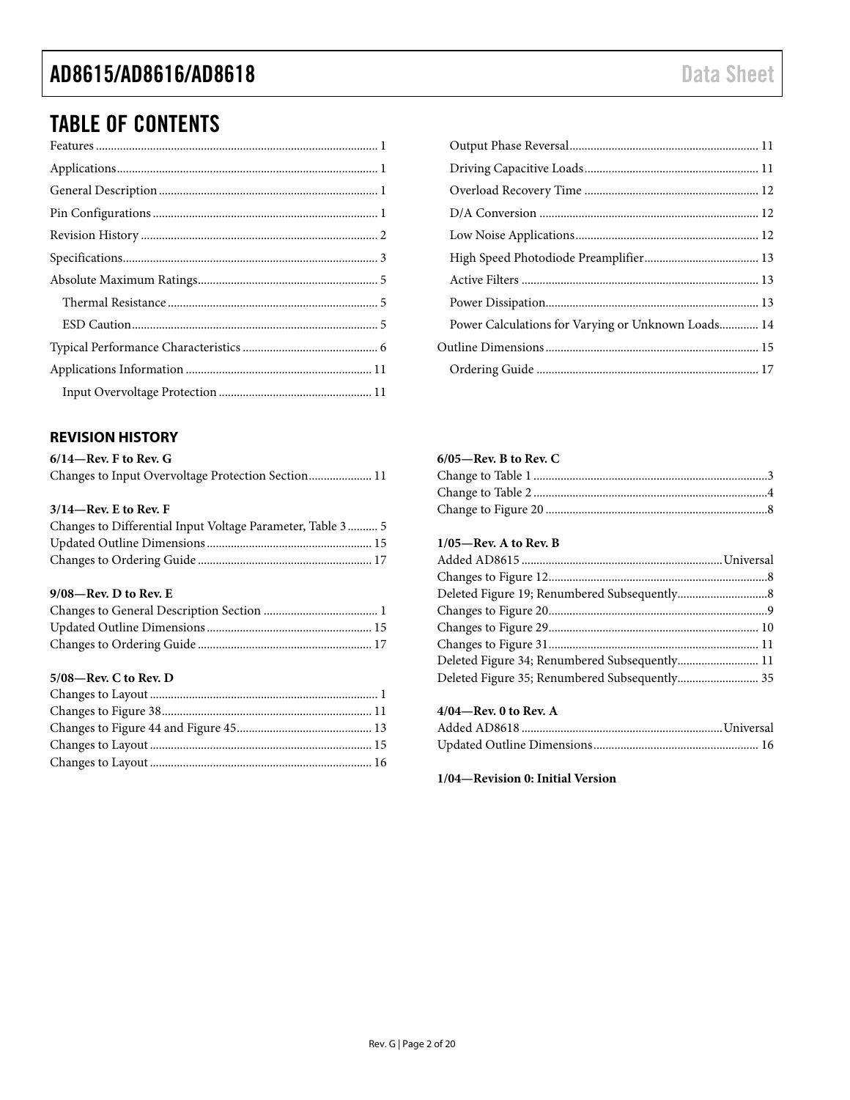## TABLE OF CONTENTS

### <span id="page-1-0"></span>**REVISION HISTORY**

| $6/14$ —Rev. F to Rev. G                           |  |
|----------------------------------------------------|--|
| Changes to Input Overvoltage Protection Section 11 |  |

### **3/14—Rev. E to Rev. F**

| Changes to Differential Input Voltage Parameter, Table 3 5 |  |
|------------------------------------------------------------|--|
|                                                            |  |
|                                                            |  |

### **9/08—Rev. D to Rev. E**

### **5/08—Rev. C to Rev. D**

<span id="page-1-1"></span>

| Power Calculations for Varying or Unknown Loads 14 |  |
|----------------------------------------------------|--|
|                                                    |  |
|                                                    |  |

### **6/05—Rev. B to Rev. C**

### **1/05—Rev. A to Rev. B**

| Deleted Figure 34; Renumbered Subsequently 11 |  |
|-----------------------------------------------|--|
| Deleted Figure 35; Renumbered Subsequently 35 |  |
|                                               |  |

## **4/04—Rev. 0 to Rev. A**

**1/04—Revision 0: Initial Version**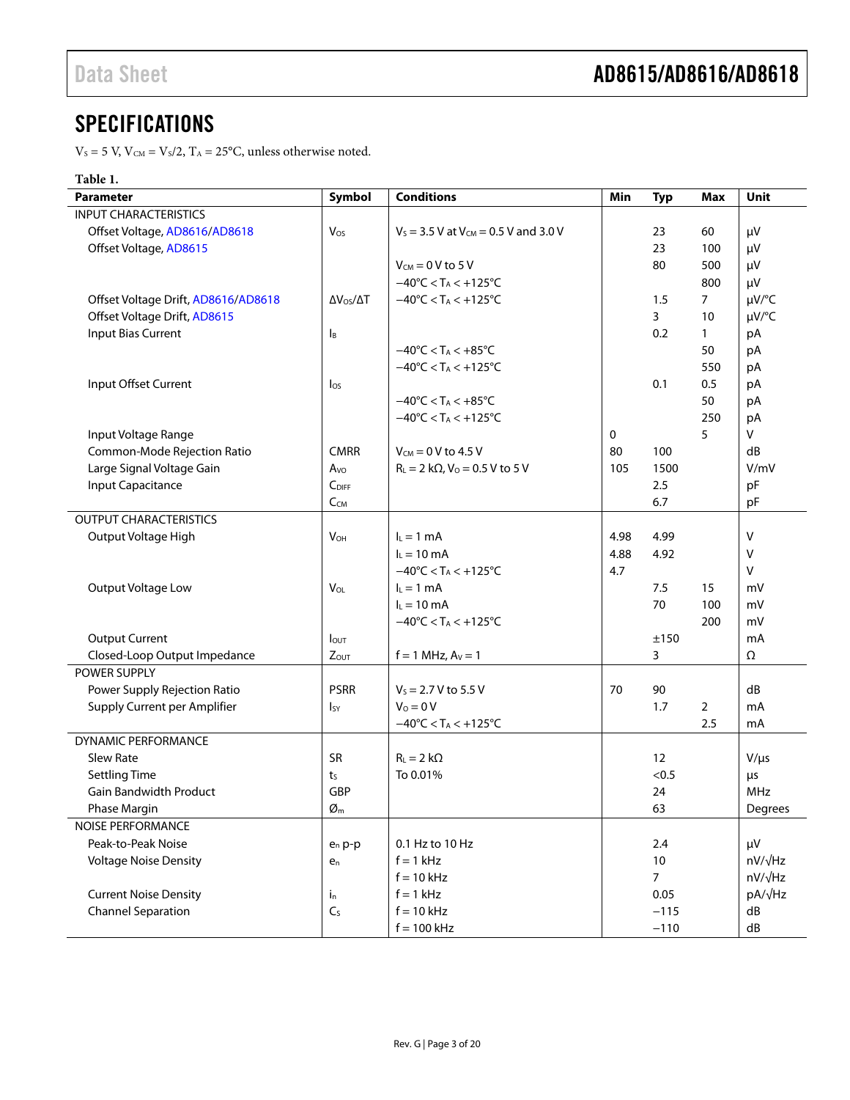## **SPECIFICATIONS**

 $\rm V_S$  = 5 V,  $\rm V_{\rm CM}$  = Vs/2, T $\rm A$  = 25°C, unless otherwise noted.

## **Table 1.**

| Parameter                           | Symbol                     | <b>Conditions</b>                                   | Min  | <b>Typ</b>     | <b>Max</b>     | Unit            |
|-------------------------------------|----------------------------|-----------------------------------------------------|------|----------------|----------------|-----------------|
| <b>INPUT CHARACTERISTICS</b>        |                            |                                                     |      |                |                |                 |
| Offset Voltage, AD8616/AD8618       | Vos                        | $V_S = 3.5 V$ at $V_{CM} = 0.5 V$ and 3.0 V         |      | 23             | 60             | μV              |
| Offset Voltage, AD8615              |                            |                                                     |      | 23             | 100            | μV              |
|                                     |                            | $V_{CM} = 0 V$ to 5 V                               |      | 80             | 500            | μV              |
|                                     |                            | $-40^{\circ}$ C < T <sub>A</sub> < $+125^{\circ}$ C |      |                | 800            | μV              |
| Offset Voltage Drift, AD8616/AD8618 | $\Delta V_{OS}/\Delta T$   | $-40^{\circ}$ C < T <sub>A</sub> < $+125^{\circ}$ C |      | 1.5            | $\overline{7}$ | µV/°C           |
| Offset Voltage Drift, AD8615        |                            |                                                     |      | 3              | 10             | µV/°C           |
| <b>Input Bias Current</b>           | Iв                         |                                                     |      | 0.2            | $\mathbf{1}$   | pA              |
|                                     |                            | $-40^{\circ}$ C < T <sub>A</sub> < $+85^{\circ}$ C  |      |                | 50             | pA              |
|                                     |                            | $-40^{\circ}$ C < T <sub>A</sub> < $+125^{\circ}$ C |      |                | 550            | рA              |
| Input Offset Current                | $\log$                     |                                                     |      | 0.1            | 0.5            | рA              |
|                                     |                            | $-40^{\circ}$ C < T <sub>A</sub> < $+85^{\circ}$ C  |      |                | 50             | рA              |
|                                     |                            | $-40^{\circ}$ C < T <sub>A</sub> < $+125^{\circ}$ C |      |                | 250            | рA              |
| Input Voltage Range                 |                            |                                                     | 0    |                | 5              | V               |
| Common-Mode Rejection Ratio         | <b>CMRR</b>                | $V_{CM} = 0 V$ to 4.5 V                             | 80   | 100            |                | dB              |
| Large Signal Voltage Gain           | Avo                        | $R_L = 2 k\Omega$ , $V_0 = 0.5 V$ to 5 V            | 105  | 1500           |                | V/mV            |
| Input Capacitance                   | $C_{\text{DIFF}}$          |                                                     |      | 2.5            |                | pF              |
|                                     | $C_{CM}$                   |                                                     |      | 6.7            |                | рF              |
| <b>OUTPUT CHARACTERISTICS</b>       |                            |                                                     |      |                |                |                 |
| Output Voltage High                 | <b>V<sub>OH</sub></b>      | $I_L = 1$ mA                                        | 4.98 | 4.99           |                | v               |
|                                     |                            | $I_L = 10$ mA                                       | 4.88 | 4.92           |                | v               |
|                                     |                            | $-40^{\circ}$ C < T <sub>A</sub> < $+125^{\circ}$ C | 4.7  |                |                | v               |
| Output Voltage Low                  | $V_{OL}$                   | $I_L = 1$ mA                                        |      | 7.5            | 15             | mV              |
|                                     |                            | $I_L = 10$ mA                                       |      | 70             | 100            | mV              |
|                                     |                            | $-40^{\circ}$ C < T <sub>A</sub> < $+125^{\circ}$ C |      |                | 200            | mV              |
| <b>Output Current</b>               | lout                       |                                                     |      | ±150           |                | mA              |
| Closed-Loop Output Impedance        | $Z_{OUT}$                  | $f = 1$ MHz, $A_V = 1$                              |      | 3              |                | Ω               |
| POWER SUPPLY                        |                            |                                                     |      |                |                |                 |
| Power Supply Rejection Ratio        | <b>PSRR</b>                | $V_s = 2.7 V$ to 5.5 V                              | 70   | 90             |                | dB              |
| Supply Current per Amplifier        | Isy                        | $V_0 = 0 V$                                         |      | 1.7            | 2              | mA              |
|                                     |                            | $-40^{\circ}$ C < T <sub>A</sub> < $+125^{\circ}$ C |      |                | 2.5            | mA              |
| <b>DYNAMIC PERFORMANCE</b>          |                            |                                                     |      |                |                |                 |
| <b>Slew Rate</b>                    | SR                         | $R_L = 2 k\Omega$                                   |      | 12             |                | $V/\mu s$       |
| <b>Settling Time</b>                | ts                         | To 0.01%                                            |      | < 0.5          |                | μs              |
| <b>Gain Bandwidth Product</b>       | GBP                        |                                                     |      | 24             |                | <b>MHz</b>      |
| Phase Margin                        | $\varnothing_{\mathsf{m}}$ |                                                     |      | 63             |                | Degrees         |
| NOISE PERFORMANCE                   |                            |                                                     |      |                |                |                 |
| Peak-to-Peak Noise                  | $e_n p-p$                  | 0.1 Hz to 10 Hz                                     |      | 2.4            |                | μV              |
| <b>Voltage Noise Density</b>        | $e_n$                      | $f = 1$ kHz                                         |      | 10             |                | $nV/\sqrt{Hz}$  |
|                                     |                            | $f = 10$ kHz                                        |      | $\overline{7}$ |                | $nV/\sqrt{Hz}$  |
| <b>Current Noise Density</b>        | $i_{n}$                    | $f = 1$ kHz                                         |      | 0.05           |                | pA/ $\sqrt{Hz}$ |
| <b>Channel Separation</b>           | C <sub>S</sub>             | $f = 10$ kHz                                        |      | $-115$         |                | dB              |
|                                     |                            | $f = 100$ kHz                                       |      | $-110$         |                | ${\sf dB}$      |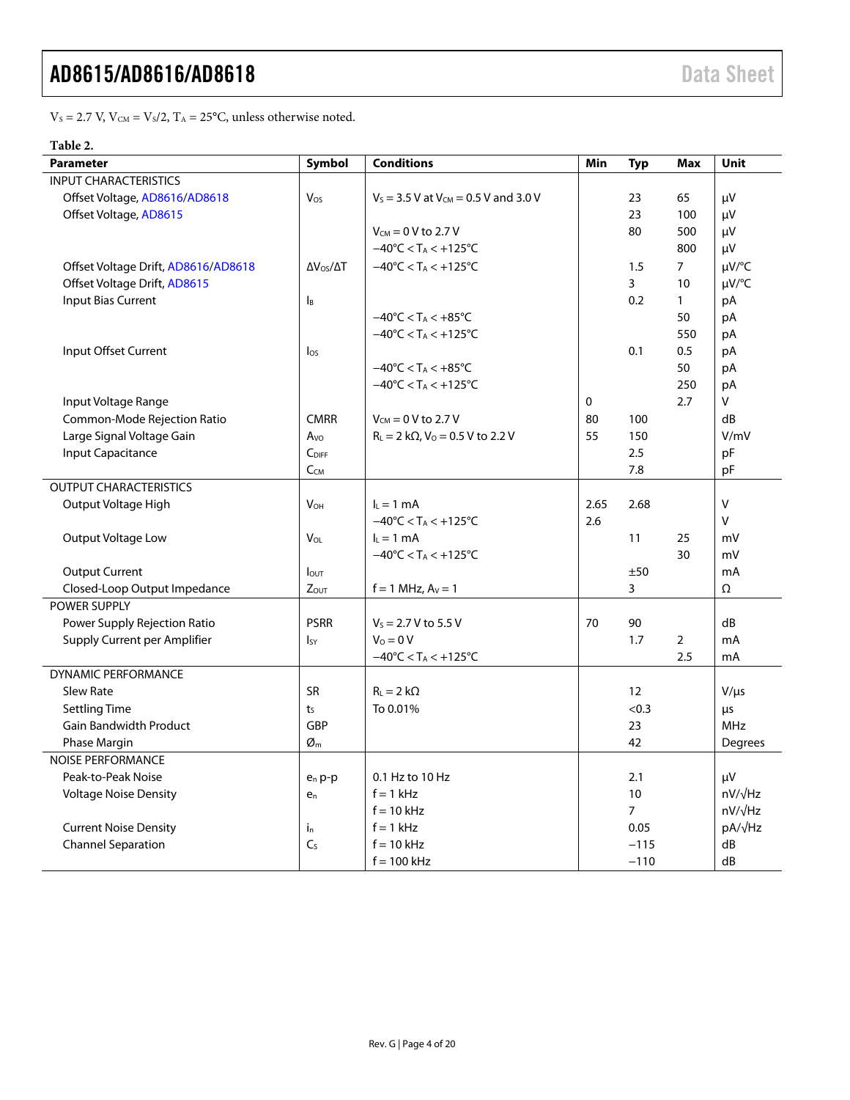$V_s = 2.7$  V,  $V_{CM} = V_s/2$ ,  $T_A = 25$ °C, unless otherwise noted.

## **Table 2.**

| <b>Parameter</b>                    | Symbol                   | <b>Conditions</b>                                        | Min         | <b>Typ</b>     | Max            | Unit           |
|-------------------------------------|--------------------------|----------------------------------------------------------|-------------|----------------|----------------|----------------|
| <b>INPUT CHARACTERISTICS</b>        |                          |                                                          |             |                |                |                |
| Offset Voltage, AD8616/AD8618       | Vos                      | $V_s = 3.5$ V at $V_{CM} = 0.5$ V and 3.0 V              |             | 23             | 65             | μV             |
| Offset Voltage, AD8615              |                          |                                                          |             | 23             | 100            | μV             |
|                                     |                          | $V_{CM} = 0 V$ to 2.7 V                                  |             | 80             | 500            | μV             |
|                                     |                          | $-40^{\circ}$ C < T <sub>A</sub> < $+125^{\circ}$ C      |             |                | 800            | μV             |
| Offset Voltage Drift, AD8616/AD8618 | $\Delta V_{OS}/\Delta T$ | $-40^{\circ}$ C < T <sub>A</sub> < $+125^{\circ}$ C      |             | 1.5            | $\overline{7}$ | $\mu V$ /°C    |
| Offset Voltage Drift, AD8615        |                          |                                                          |             | $\overline{3}$ | 10             | µV/°C          |
| <b>Input Bias Current</b>           | Iв                       |                                                          |             | 0.2            | $\mathbf{1}$   | pA             |
|                                     |                          | $-40^{\circ}$ C < T <sub>A</sub> < $+85^{\circ}$ C       |             |                | 50             | рA             |
|                                     |                          | $-40^{\circ}$ C < T <sub>A</sub> < $+125^{\circ}$ C      |             |                | 550            | рA             |
| Input Offset Current                | $\log$                   |                                                          |             | 0.1            | 0.5            | pA             |
|                                     |                          | $-40^{\circ}$ C < T <sub>A</sub> < $+85^{\circ}$ C       |             |                | 50             | pA             |
|                                     |                          | $-40^{\circ}$ C < T <sub>A</sub> < $+125^{\circ}$ C      |             |                | 250            | pA             |
| Input Voltage Range                 |                          |                                                          | $\mathbf 0$ |                | 2.7            | V              |
| Common-Mode Rejection Ratio         | <b>CMRR</b>              | $V_{CM} = 0 V$ to 2.7 V                                  | 80          | 100            |                | dB             |
| Large Signal Voltage Gain           | $A$ vo                   | $R_L = 2 k\Omega$ , $V_0 = 0.5 V$ to 2.2 V               | 55          | 150            |                | V/mV           |
| Input Capacitance                   | C <sub>DIFF</sub>        |                                                          |             | 2.5            |                | pF             |
|                                     | $C_{CM}$                 |                                                          |             | 7.8            |                | pF             |
| <b>OUTPUT CHARACTERISTICS</b>       |                          |                                                          |             |                |                |                |
| Output Voltage High                 | <b>V<sub>OH</sub></b>    | $I_L = 1$ mA                                             | 2.65        | 2.68           |                | V              |
|                                     |                          | $-40^{\circ}$ C < T <sub>A</sub> < $+125^{\circ}$ C      | 2.6         |                |                | v              |
| Output Voltage Low                  | VOL                      | $lL = 1 mA$                                              |             | 11             | 25             | mV             |
|                                     |                          | $-40^{\circ}$ C < T <sub>A</sub> < $+125^{\circ}$ C      |             |                | 30             | mV             |
| <b>Output Current</b>               | lout                     |                                                          |             | ±50            |                | mA             |
| Closed-Loop Output Impedance        | Zout                     | $f = 1$ MHz, $Av = 1$                                    |             | 3              |                | Ω              |
| <b>POWER SUPPLY</b>                 |                          |                                                          |             |                |                |                |
| Power Supply Rejection Ratio        | <b>PSRR</b>              | $V_s = 2.7 V$ to 5.5 V                                   | 70          | 90             |                | dB             |
| Supply Current per Amplifier        | $I_{SY}$                 | $V_0 = 0 V$                                              |             | 1.7            | $\overline{2}$ | mA             |
|                                     |                          | $-40^{\circ}$ C $<$ T <sub>A</sub> $<$ +125 $^{\circ}$ C |             |                | 2.5            | mA             |
| <b>DYNAMIC PERFORMANCE</b>          |                          |                                                          |             |                |                |                |
| <b>Slew Rate</b>                    | <b>SR</b>                | $R_L = 2 k\Omega$                                        |             | 12             |                | $V/\mu s$      |
| <b>Settling Time</b>                | t <sub>S</sub>           | To 0.01%                                                 |             | < 0.3          |                | μs             |
| <b>Gain Bandwidth Product</b>       | GBP                      |                                                          |             | 23             |                | <b>MHz</b>     |
| Phase Margin                        | $\varnothing$ m          |                                                          |             | 42             |                | Degrees        |
| <b>NOISE PERFORMANCE</b>            |                          |                                                          |             |                |                |                |
| Peak-to-Peak Noise                  | $e_n p-p$                | 0.1 Hz to 10 Hz                                          |             | 2.1            |                | μV             |
| <b>Voltage Noise Density</b>        | $e_n$                    | $f = 1$ kHz                                              |             | 10             |                | $nV/\sqrt{Hz}$ |
|                                     |                          | $f = 10$ kHz                                             |             | $\overline{7}$ |                | $nV/\sqrt{Hz}$ |
| <b>Current Noise Density</b>        | $i_{n}$                  | $f = 1$ kHz                                              |             | 0.05           |                | pA/√Hz         |
| <b>Channel Separation</b>           | C <sub>S</sub>           | $f = 10$ kHz                                             |             | $-115$         |                | dB             |
|                                     |                          | $f = 100$ kHz                                            |             | $-110$         |                | dB             |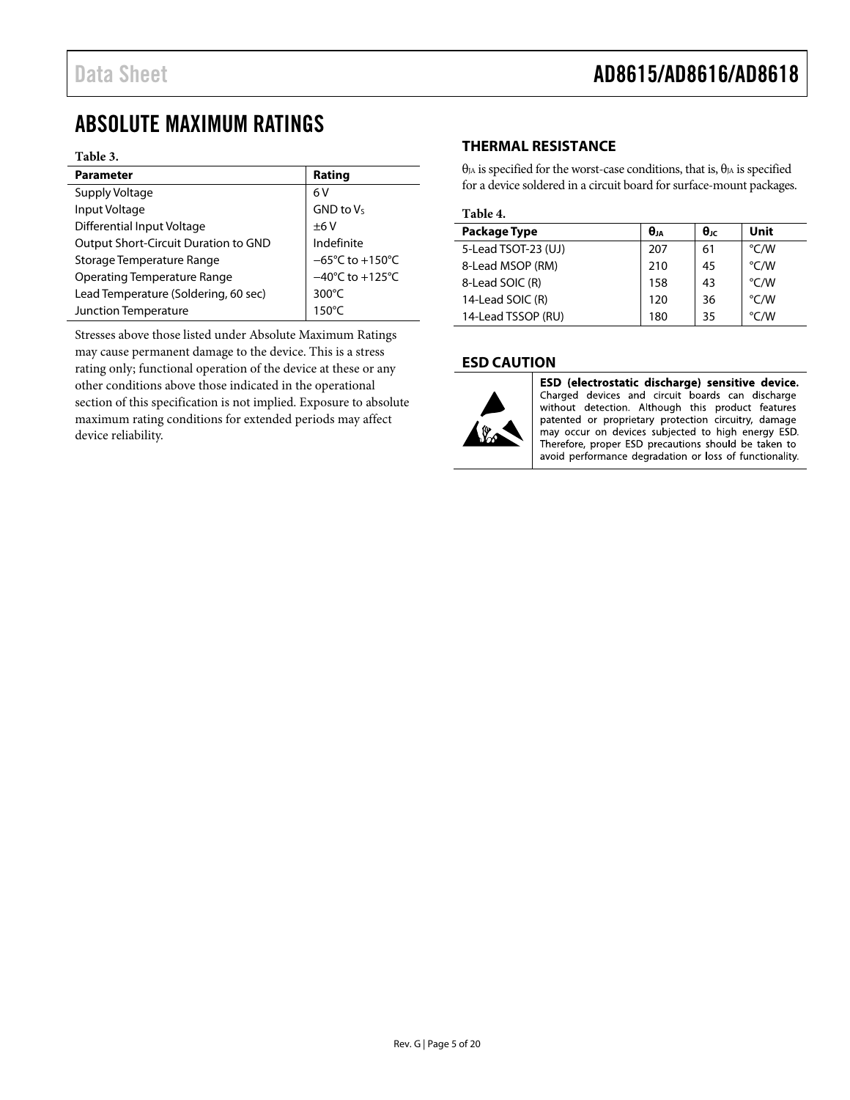## <span id="page-4-0"></span>ABSOLUTE MAXIMUM RATINGS

### **Table 3.**

| <b>Parameter</b>                     | Rating                               |
|--------------------------------------|--------------------------------------|
| Supply Voltage                       | 6 V                                  |
| Input Voltage                        | $GND$ to $V_S$                       |
| Differential Input Voltage           | ±6V                                  |
| Output Short-Circuit Duration to GND | Indefinite                           |
| Storage Temperature Range            | $-65^{\circ}$ C to +150 $^{\circ}$ C |
| <b>Operating Temperature Range</b>   | $-40^{\circ}$ C to +125 $^{\circ}$ C |
| Lead Temperature (Soldering, 60 sec) | 300 $\degree$ C                      |
| Junction Temperature                 | $150^{\circ}$ C                      |

Stresses above those listed under Absolute Maximum Ratings may cause permanent damage to the device. This is a stress rating only; functional operation of the device at these or any other conditions above those indicated in the operational section of this specification is not implied. Exposure to absolute maximum rating conditions for extended periods may affect device reliability.

### <span id="page-4-1"></span>**THERMAL RESISTANCE**

θ<sub>JA</sub> is specified for the worst-case conditions, that is, θ<sub>JA</sub> is specified for a device soldered in a circuit board for surface-mount packages.

### **Table 4.**

| <b>Package Type</b> | $\theta_{JA}$ | θıc | Unit          |
|---------------------|---------------|-----|---------------|
| 5-Lead TSOT-23 (UJ) | 207           | 61  | °C/W          |
| 8-Lead MSOP (RM)    | 210           | 45  | °C/W          |
| 8-Lead SOIC (R)     | 158           | 43  | $\degree$ C/W |
| 14-Lead SOIC (R)    | 120           | 36  | °C/W          |
| 14-Lead TSSOP (RU)  | 180           | 35  | °C/W          |

### <span id="page-4-2"></span>**ESD CAUTION**



ESD (electrostatic discharge) sensitive device. Charged devices and circuit boards can discharge without detection. Although this product features patented or proprietary protection circuitry, damage may occur on devices subjected to high energy ESD. Therefore, proper ESD precautions should be taken to avoid performance degradation or loss of functionality.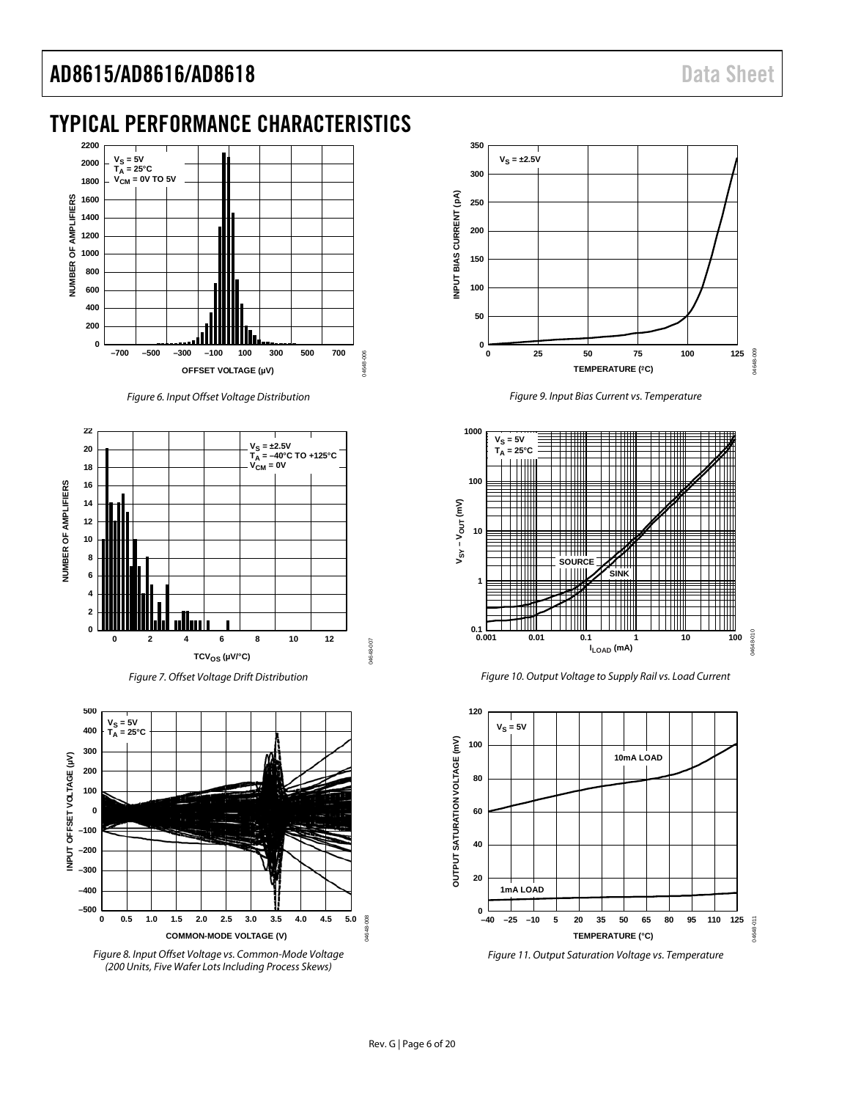## <span id="page-5-0"></span>TYPICAL PERFORMANCE CHARACTERISTICS



*Figure 6. Input Offset Voltage Distribution*



*Figure 7. Offset Voltage Drift Distribution*







*Figure 9. Input Bias Current vs. Temperature*



*Figure 10. Output Voltage to Supply Rail vs. Load Current*



*Figure 11. Output Saturation Voltage vs. Temperature*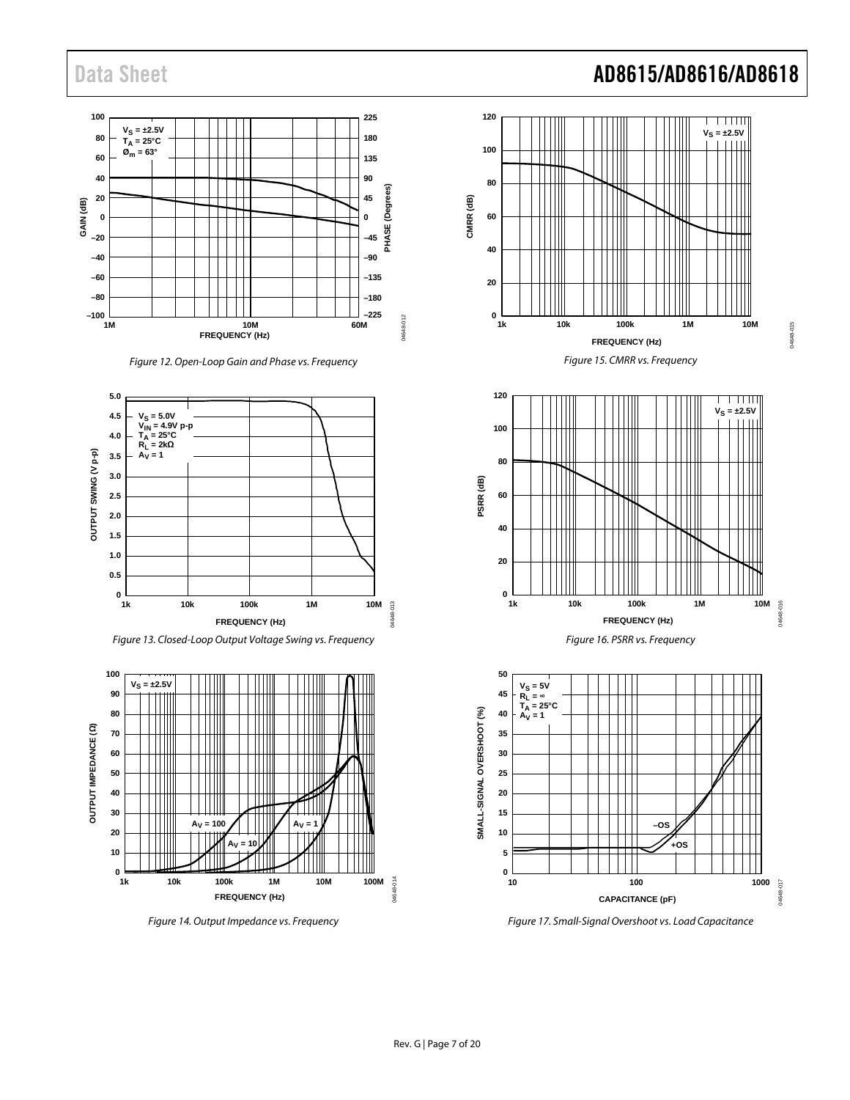

*Figure 12. Open-Loop Gain and Phase vs. Frequency*



*Figure 13. Closed-Loop Output Voltage Swing vs. Frequency*



*Figure 14. Output Impedance vs. Frequency*









*Figure 17. Small-Signal Overshoot vs. Load Capacitance*

## Data Sheet **AD8615/AD8616/AD8618**

04648-015

04648-015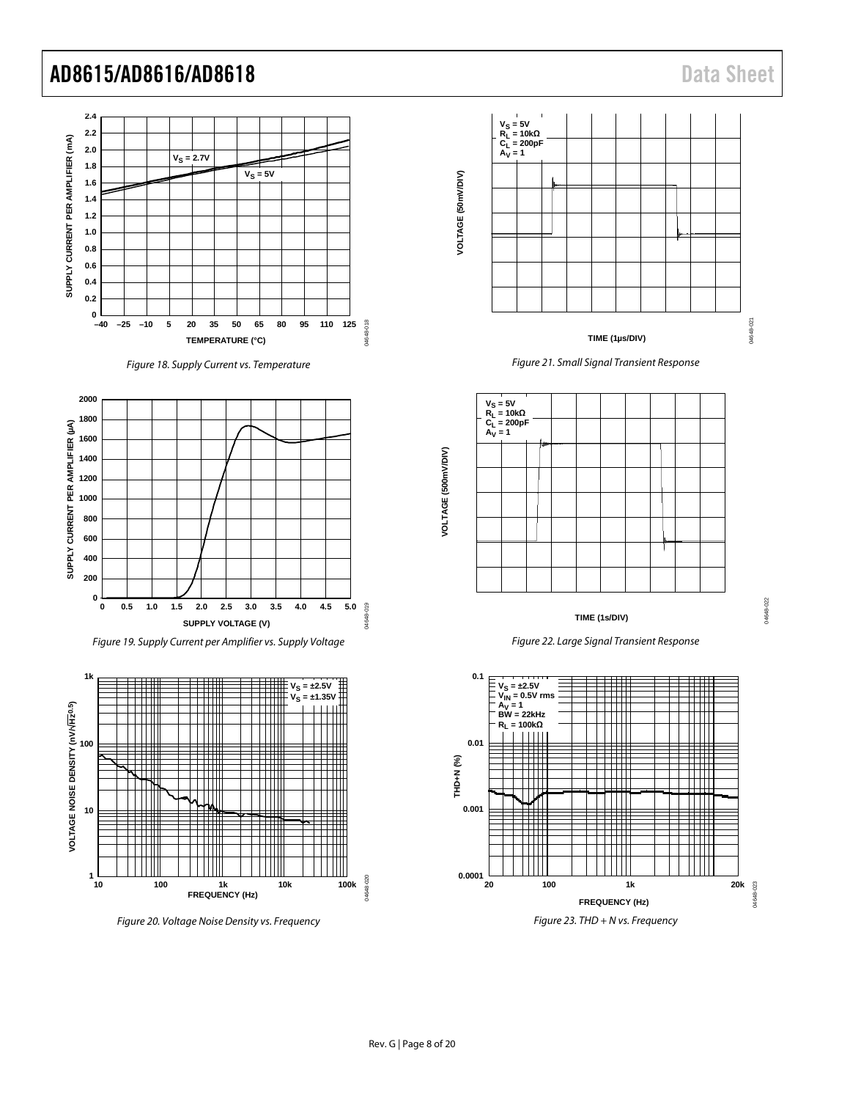

*Figure 18. Supply Current vs. Temperature*



*Figure 19. Supply Current per Amplifier vs. Supply Voltage*



*Figure 20. Voltage Noise Density vs. Frequency*



### **TIME (1µs/DIV)**











04648-022

14648-022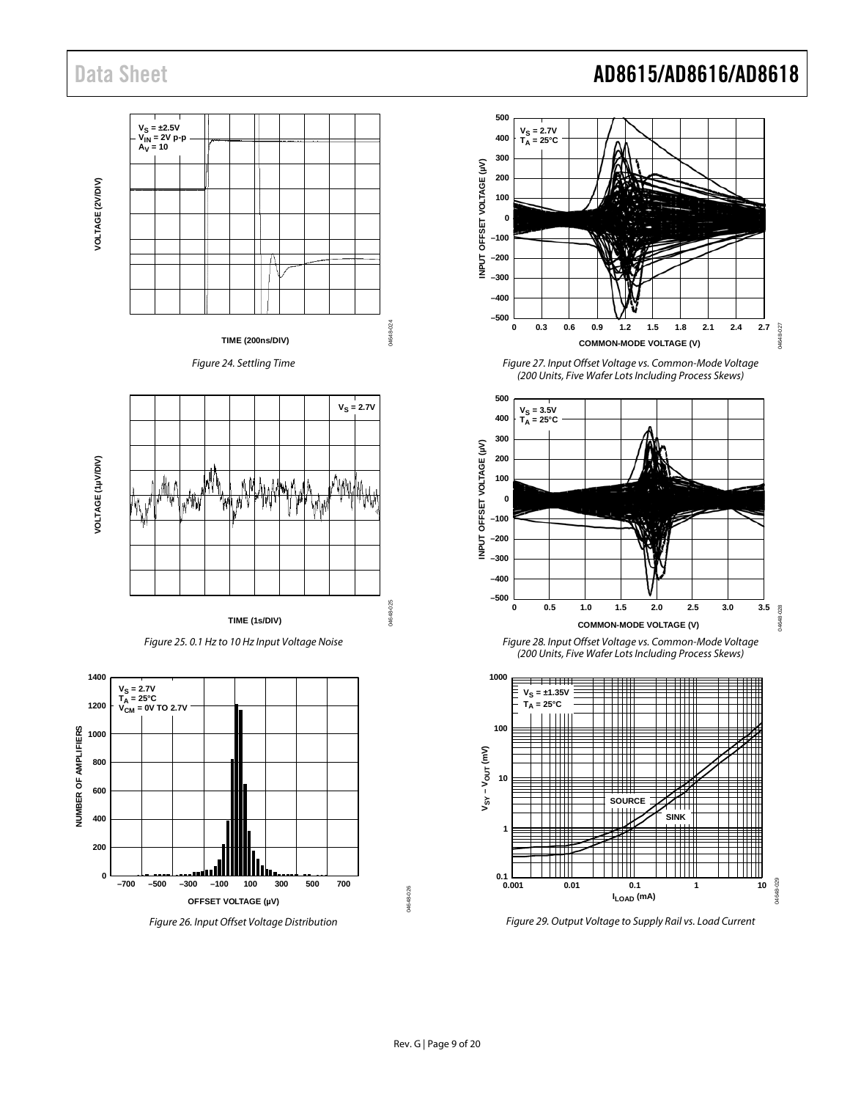

## Data Sheet **AD8615/AD8616/AD8618**

04648-027

-027 DARAS

04648-029

4648-029



**SINK**

**SOURCE**

**ILOAD (mA)**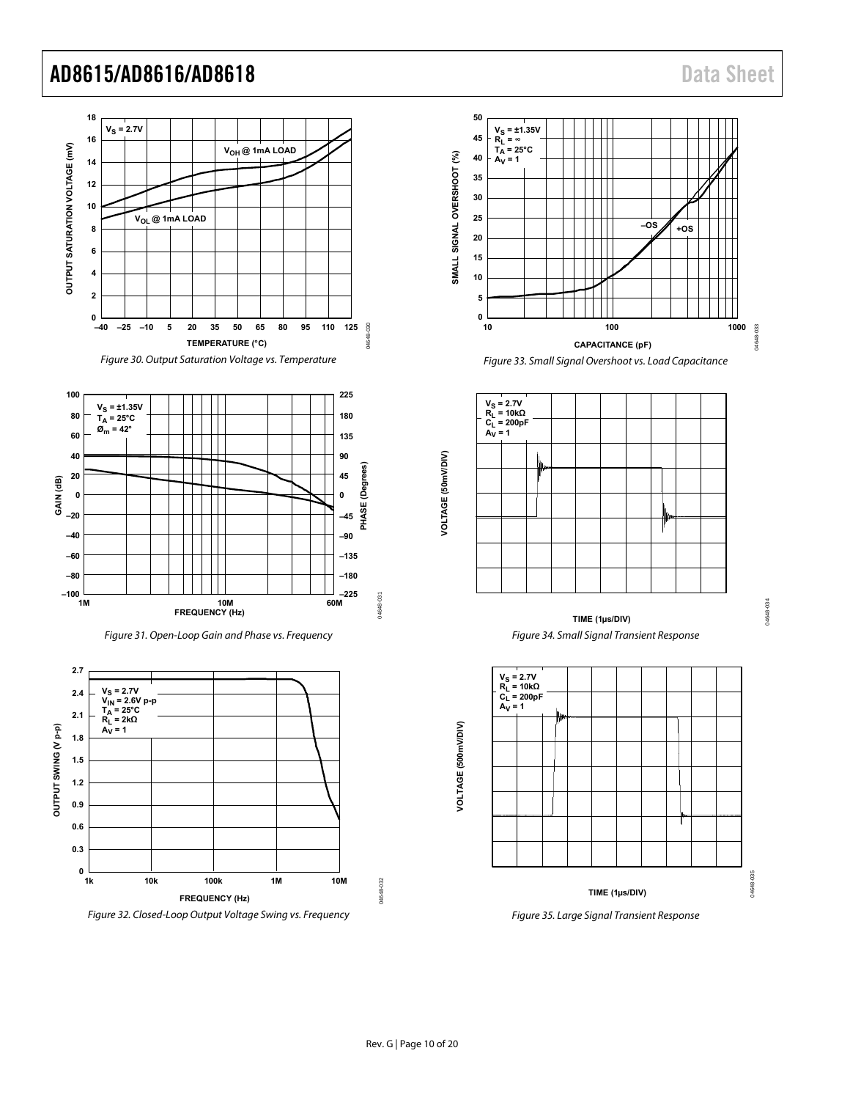04648-034

04648-034

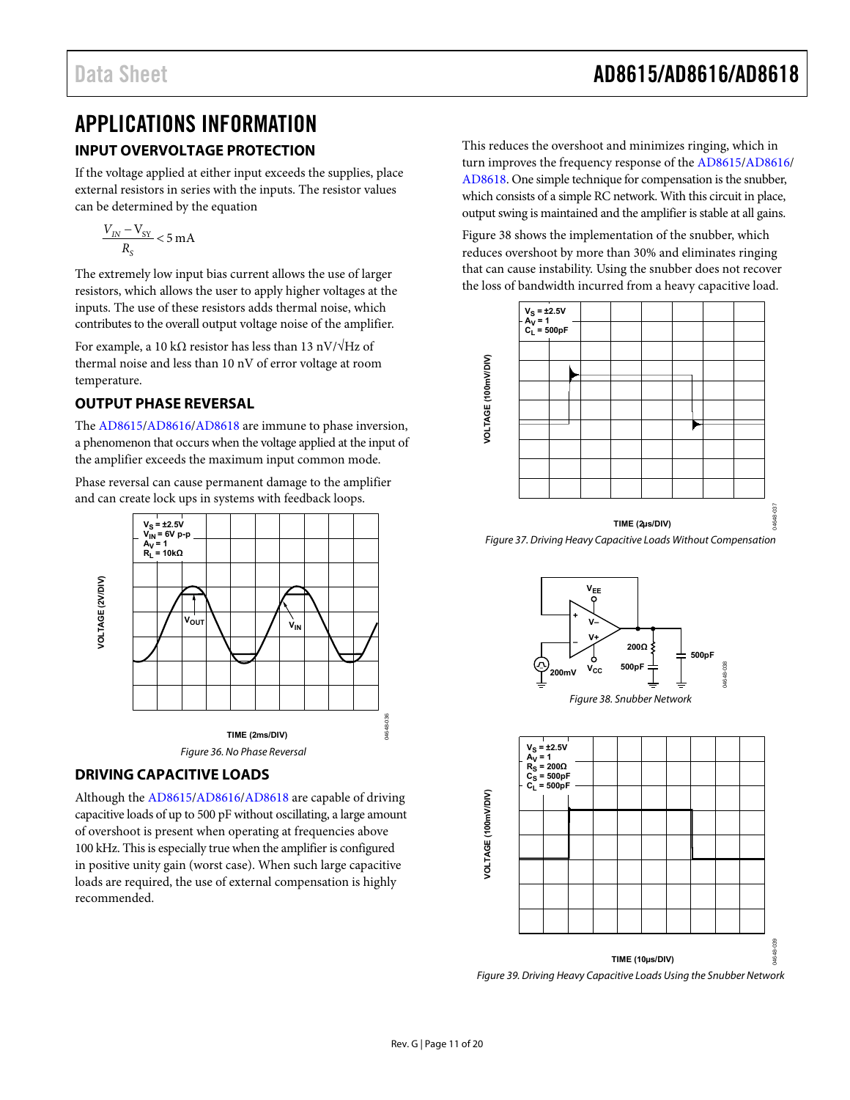## <span id="page-10-0"></span>APPLICATIONS INFORMATION **INPUT OVERVOLTAGE PROTECTION**

<span id="page-10-1"></span>If the voltage applied at either input exceeds the supplies, place external resistors in series with the inputs. The resistor values can be determined by the equation

$$
\frac{V_{IN} - V_{SY}}{R_S} < 5 \, \text{mA}
$$

The extremely low input bias current allows the use of larger resistors, which allows the user to apply higher voltages at the inputs. The use of these resistors adds thermal noise, which contributes to the overall output voltage noise of the amplifier.

For example, a 10 kΩ resistor has less than 13 nV/ $\sqrt{Hz}$  of thermal noise and less than 10 nV of error voltage at room temperature.

## <span id="page-10-2"></span>**OUTPUT PHASE REVERSAL**

The [AD8615/](http://www.analog.com/AD8615?doc=AD8615_8616_8618.pdf)[AD8616/](http://www.analog.com/AD8616?doc=AD8615_8616_8618.pdf)[AD8618 a](http://www.analog.com/AD8618?doc=AD8615_8616_8618.pdf)re immune to phase inversion, a phenomenon that occurs when the voltage applied at the input of the amplifier exceeds the maximum input common mode.

Phase reversal can cause permanent damage to the amplifier and can create lock ups in systems with feedback loops.



### <span id="page-10-3"></span>**DRIVING CAPACITIVE LOADS**

Although th[e AD8615/](http://www.analog.com/AD8615?doc=AD8615_8616_8618.pdf)[AD8616/](http://www.analog.com/AD8616?doc=AD8615_8616_8618.pdf)[AD8618](http://www.analog.com/AD8618?doc=AD8615_8616_8618.pdf) are capable of driving capacitive loads of up to 500 pF without oscillating, a large amount of overshoot is present when operating at frequencies above 100 kHz. This is especially true when the amplifier is configured in positive unity gain (worst case). When such large capacitive loads are required, the use of external compensation is highly recommended.

This reduces the overshoot and minimizes ringing, which in turn improves the frequency response of th[e AD8615/](http://www.analog.com/AD8615?doc=AD8615_8616_8618.pdf)[AD8616/](http://www.analog.com/AD8616?doc=AD8615_8616_8618.pdf) [AD8618.](http://www.analog.com/AD8618?doc=AD8615_8616_8618.pdf) One simple technique for compensation is the snubber, which consists of a simple RC network. With this circuit in place, output swing is maintained and the amplifier is stable at all gains.

[Figure 38 s](#page-10-4)hows the implementation of the snubber, which reduces overshoot by more than 30% and eliminates ringing that can cause instability. Using the snubber does not recover the loss of bandwidth incurred from a heavy capacitive load.



Figure 37. Driving Heavy Capacitive Loads Without Compensation



<span id="page-10-4"></span>

Figure 39. Driving Heavy Capacitive Loads Using the Snubber Network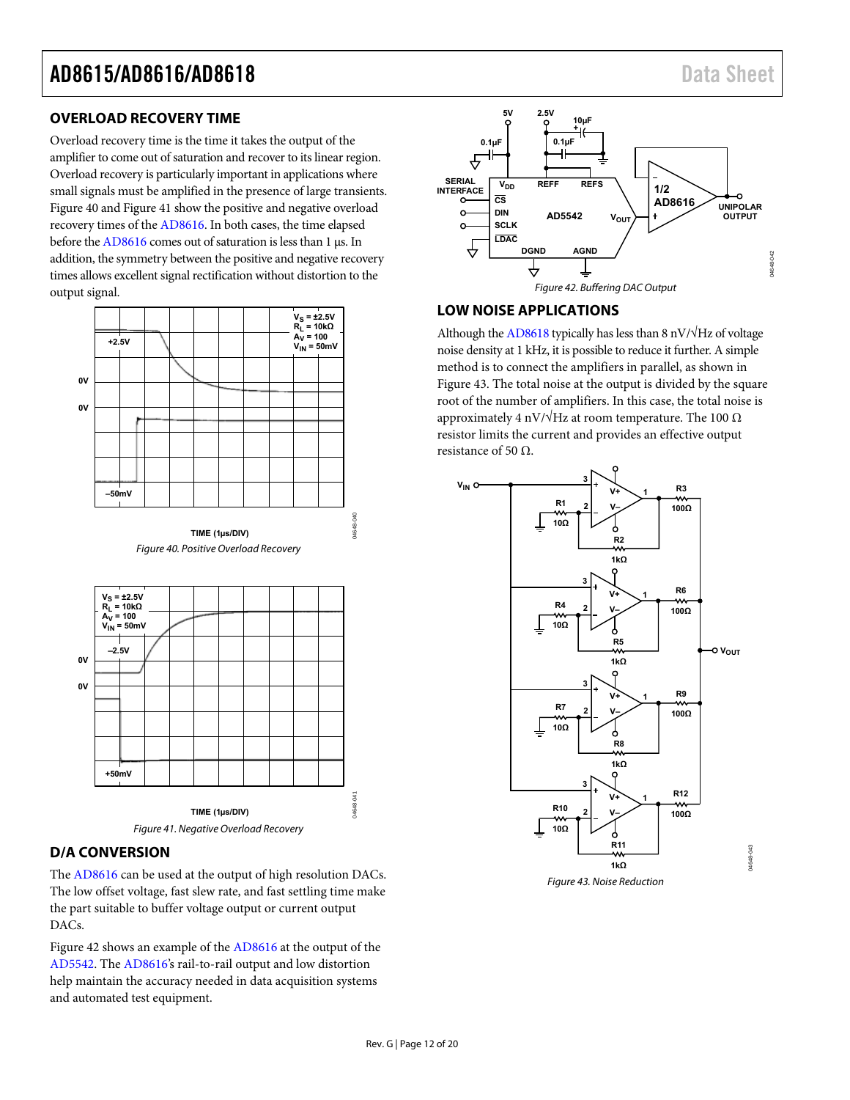### <span id="page-11-0"></span>**OVERLOAD RECOVERY TIME**

Overload recovery time is the time it takes the output of the amplifier to come out of saturation and recover to its linear region. Overload recovery is particularly important in applications where small signals must be amplified in the presence of large transients. [Figure 40 a](#page-11-3)nd [Figure 41 s](#page-11-4)how the positive and negative overload recovery times of th[e AD8616.](http://www.analog.com/AD8616?doc=AD8615_8616_8618.pdf) In both cases, the time elapsed before th[e AD8616 c](http://www.analog.com/AD8616?doc=AD8615_8616_8618.pdf)omes out of saturation is less than 1 μs. In addition, the symmetry between the positive and negative recovery times allows excellent signal rectification without distortion to the output signal.



<span id="page-11-3"></span>

### <span id="page-11-4"></span><span id="page-11-1"></span>**D/A CONVERSION**

The [AD8616](http://www.analog.com/AD8616?doc=AD8615_8616_8618.pdf) can be used at the output of high resolution DACs. The low offset voltage, fast slew rate, and fast settling time make the part suitable to buffer voltage output or current output DACs.

[Figure 42 s](#page-11-5)hows an example of the [AD8616 a](http://www.analog.com/AD8616?doc=AD8615_8616_8618.pdf)t the output of the [AD5542.](http://www.analog.com/AD5542?doc=AD8615_8616_8618.pdf) The [AD8616's](http://www.analog.com/AD8616?doc=AD8615_8616_8618.pdf) rail-to-rail output and low distortion help maintain the accuracy needed in data acquisition systems and automated test equipment.



### <span id="page-11-5"></span><span id="page-11-2"></span>**LOW NOISE APPLICATIONS**

Although th[e AD8618 t](http://www.analog.com/AD8618?doc=AD8615_8616_8618.pdf)ypically has less than 8 nV/ $\sqrt{Hz}$  of voltage noise density at 1 kHz, it is possible to reduce it further. A simple method is to connect the amplifiers in parallel, as shown in [Figure 43.](#page-11-6) The total noise at the output is divided by the square root of the number of amplifiers. In this case, the total noise is approximately 4 nV/ $\sqrt{Hz}$  at room temperature. The 100  $\Omega$ resistor limits the current and provides an effective output resistance of 50  $Ω$ .



<span id="page-11-6"></span>Figure 43. Noise Reduction

04648-043

14648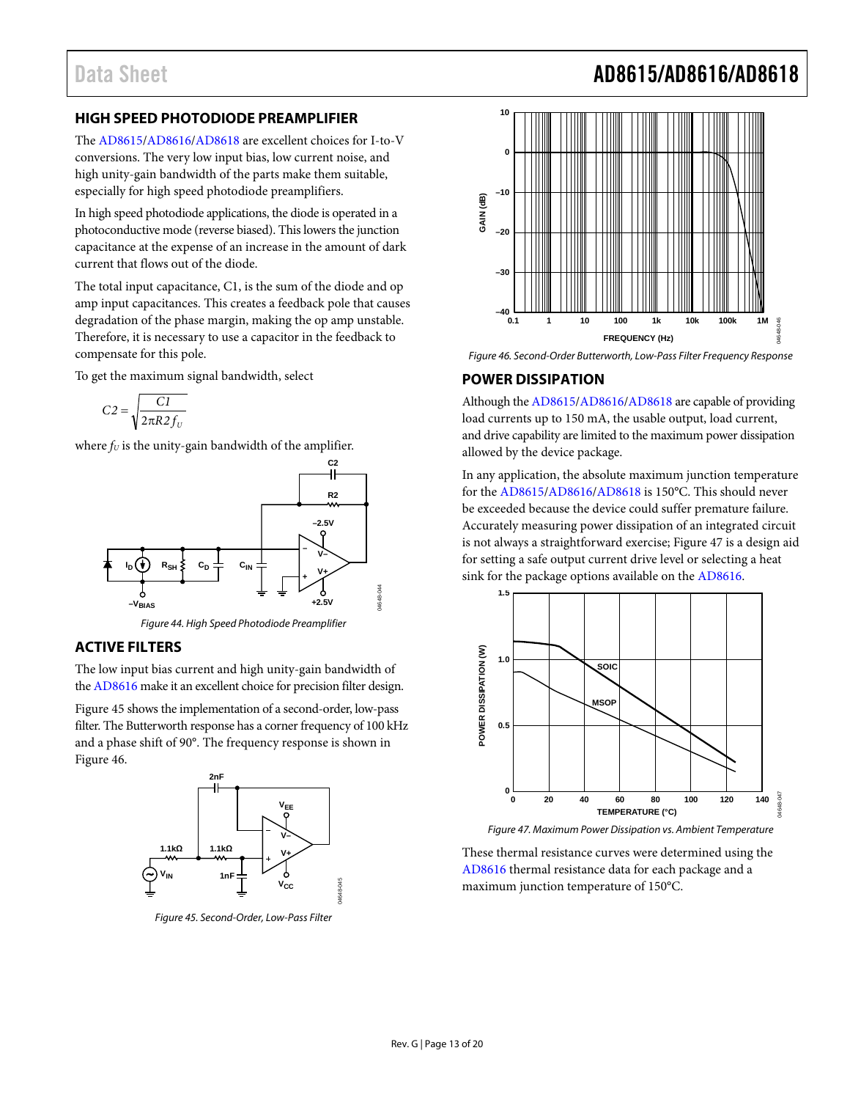## <span id="page-12-0"></span>**HIGH SPEED PHOTODIODE PREAMPLIFIER**

The [AD8615/](http://www.analog.com/AD8615?doc=AD8615_8616_8618.pdf)[AD8616/](http://www.analog.com/AD8616?doc=AD8615_8616_8618.pdf)[AD8618](http://www.analog.com/AD8618?doc=AD8615_8616_8618.pdf) are excellent choices for I-to-V conversions. The very low input bias, low current noise, and high unity-gain bandwidth of the parts make them suitable, especially for high speed photodiode preamplifiers.

In high speed photodiode applications, the diode is operated in a photoconductive mode (reverse biased). This lowers the junction capacitance at the expense of an increase in the amount of dark current that flows out of the diode.

The total input capacitance, C1, is the sum of the diode and op amp input capacitances. This creates a feedback pole that causes degradation of the phase margin, making the op amp unstable. Therefore, it is necessary to use a capacitor in the feedback to compensate for this pole.

To get the maximum signal bandwidth, select

$$
C2 = \sqrt{\frac{C1}{2\pi R2 f_U}}
$$

where  $f_U$  is the unity-gain bandwidth of the amplifier.



*Figure 44. High Speed Photodiode Preamplifier*

## <span id="page-12-1"></span>**ACTIVE FILTERS**

The low input bias current and high unity-gain bandwidth of th[e AD8616](http://www.analog.com/AD8616?doc=AD8615_8616_8618.pdf) make it an excellent choice for precision filter design.

[Figure 45](#page-12-3) shows the implementation of a second-order, low-pass filter. The Butterworth response has a corner frequency of 100 kHz and a phase shift of 90°. The frequency response is shown in [Figure 46.](#page-12-4)



<span id="page-12-3"></span>*Figure 45. Second-Order, Low-Pass Filter*



<span id="page-12-4"></span>*Figure 46. Second-Order Butterworth, Low-Pass Filter Frequency Response*

### <span id="page-12-2"></span>**POWER DISSIPATION**

Although th[e AD8615/](http://www.analog.com/AD8615?doc=AD8615_8616_8618.pdf)[AD8616/](http://www.analog.com/AD8616?doc=AD8615_8616_8618.pdf)[AD8618](http://www.analog.com/AD8618?doc=AD8615_8616_8618.pdf) are capable of providing load currents up to 150 mA, the usable output, load current, and drive capability are limited to the maximum power dissipation allowed by the device package.

In any application, the absolute maximum junction temperature for th[e AD8615](http://www.analog.com/AD8615?doc=AD8615_8616_8618.pdf)[/AD8616](http://www.analog.com/AD8616?doc=AD8615_8616_8618.pdf)[/AD8618](http://www.analog.com/AD8618?doc=AD8615_8616_8618.pdf) is 150°C. This should never be exceeded because the device could suffer premature failure. Accurately measuring power dissipation of an integrated circuit is not always a straightforward exercise; [Figure 47](#page-12-5) is a design aid for setting a safe output current drive level or selecting a heat sink for the package options available on the [AD8616.](http://www.analog.com/AD8616?doc=AD8615_8616_8618.pdf)



<span id="page-12-5"></span>*Figure 47. Maximum Power Dissipation vs. Ambient Temperature*

These thermal resistance curves were determined using the [AD8616](http://www.analog.com/AD8616?doc=AD8615_8616_8618.pdf) thermal resistance data for each package and a maximum junction temperature of 150°C.

## Data Sheet **AD8615/AD8616/AD8618**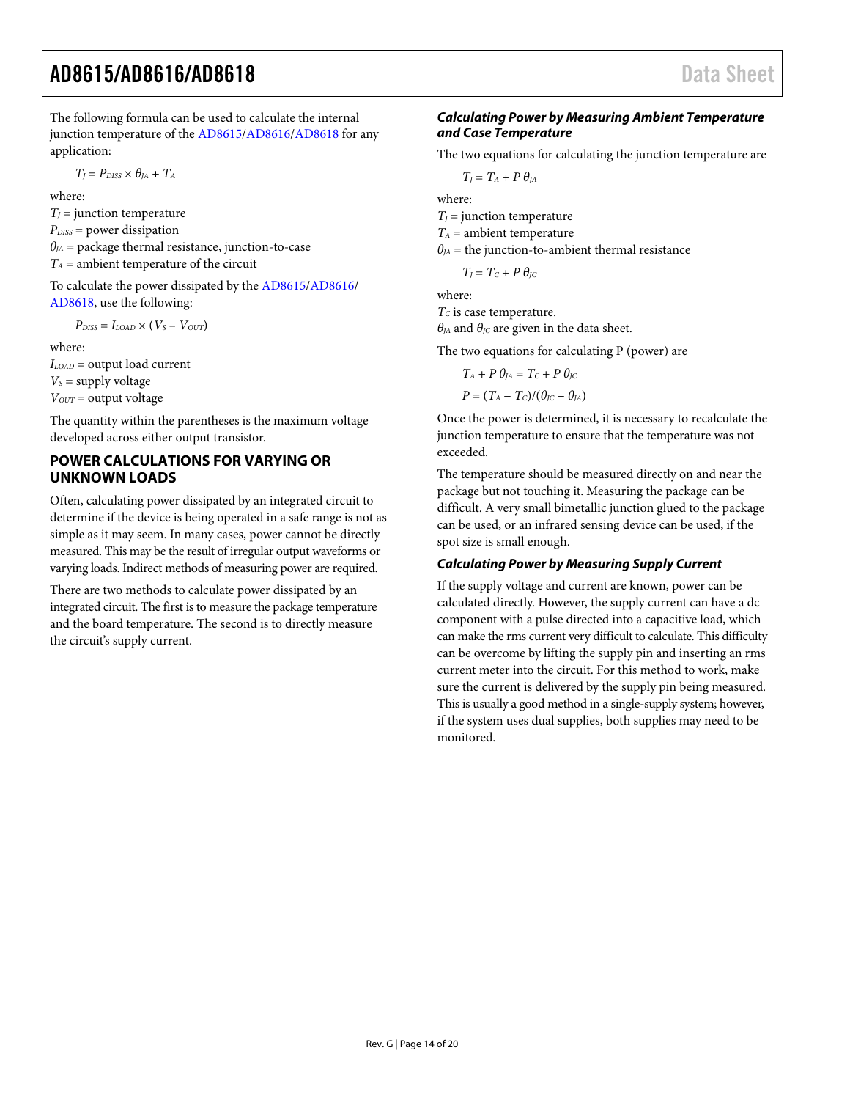The following formula can be used to calculate the internal junction temperature of th[e AD8615/](http://www.analog.com/AD8615?doc=AD8615_8616_8618.pdf)[AD8616/](http://www.analog.com/AD8616?doc=AD8615_8616_8618.pdf)[AD8618](http://www.analog.com/AD8618?doc=AD8615_8616_8618.pdf) for any application:

 $T_I = P_{DISS} \times \theta_{IA} + T_A$ 

where:

 $T_J$  = junction temperature *PDISS* = power dissipation  $\theta_{JA}$  = package thermal resistance, junction-to-case  $T_A$  = ambient temperature of the circuit

To calculate the power dissipated by th[e AD8615/](http://www.analog.com/AD8615?doc=AD8615_8616_8618.pdf)[AD8616/](http://www.analog.com/AD8616?doc=AD8615_8616_8618.pdf) [AD8618,](http://www.analog.com/AD8618?doc=AD8615_8616_8618.pdf) use the following:

 $P_{DISS} = I_{LOAD} \times (V_S - V_{OUT})$ 

where:

*ILOAD* = output load current  $V_s$  = supply voltage *VOUT* = output voltage

The quantity within the parentheses is the maximum voltage developed across either output transistor.

### <span id="page-13-0"></span>**POWER CALCULATIONS FOR VARYING OR UNKNOWN LOADS**

Often, calculating power dissipated by an integrated circuit to determine if the device is being operated in a safe range is not as simple as it may seem. In many cases, power cannot be directly measured. This may be the result of irregular output waveforms or varying loads. Indirect methods of measuring power are required.

There are two methods to calculate power dissipated by an integrated circuit. The first is to measure the package temperature and the board temperature. The second is to directly measure the circuit's supply current.

### *Calculating Power by Measuring Ambient Temperature and Case Temperature*

The two equations for calculating the junction temperature are

 $T_J = T_A + P \theta_{JA}$ 

where:

 $T_I$  = junction temperature

 $T_A$  = ambient temperature

 $\theta_{JA}$  = the junction-to-ambient thermal resistance

 $T_I = T_C + P \theta_{IC}$ 

where: *TC* is case temperature.

 $\theta_{JA}$  and  $\theta_{JC}$  are given in the data sheet.

The two equations for calculating P (power) are

$$
T_A + P \theta_{JA} = T_C + P \theta_{JC}
$$

$$
P = (T_A - T_C)/(\theta_{JC} - \theta_{JA})
$$

Once the power is determined, it is necessary to recalculate the junction temperature to ensure that the temperature was not exceeded.

The temperature should be measured directly on and near the package but not touching it. Measuring the package can be difficult. A very small bimetallic junction glued to the package can be used, or an infrared sensing device can be used, if the spot size is small enough.

### *Calculating Power by Measuring Supply Current*

If the supply voltage and current are known, power can be calculated directly. However, the supply current can have a dc component with a pulse directed into a capacitive load, which can make the rms current very difficult to calculate. This difficulty can be overcome by lifting the supply pin and inserting an rms current meter into the circuit. For this method to work, make sure the current is delivered by the supply pin being measured. This is usually a good method in a single-supply system; however, if the system uses dual supplies, both supplies may need to be monitored.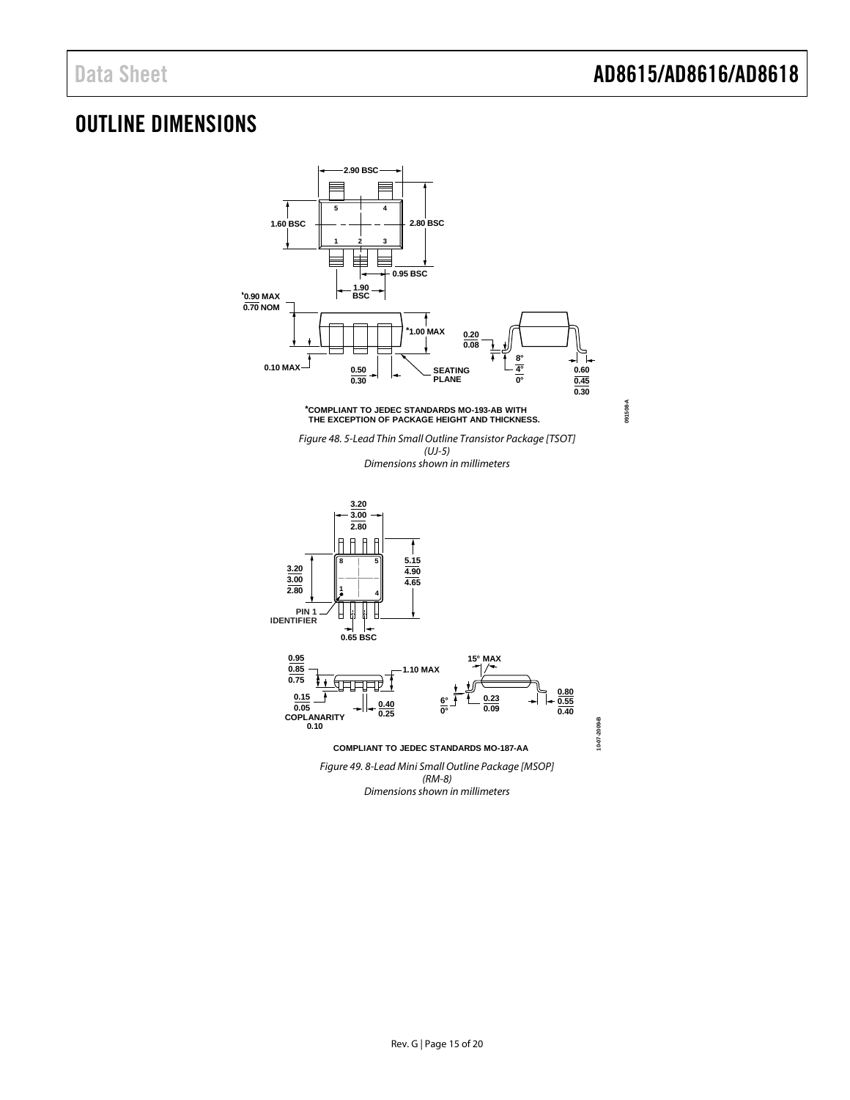## <span id="page-14-0"></span>OUTLINE DIMENSIONS

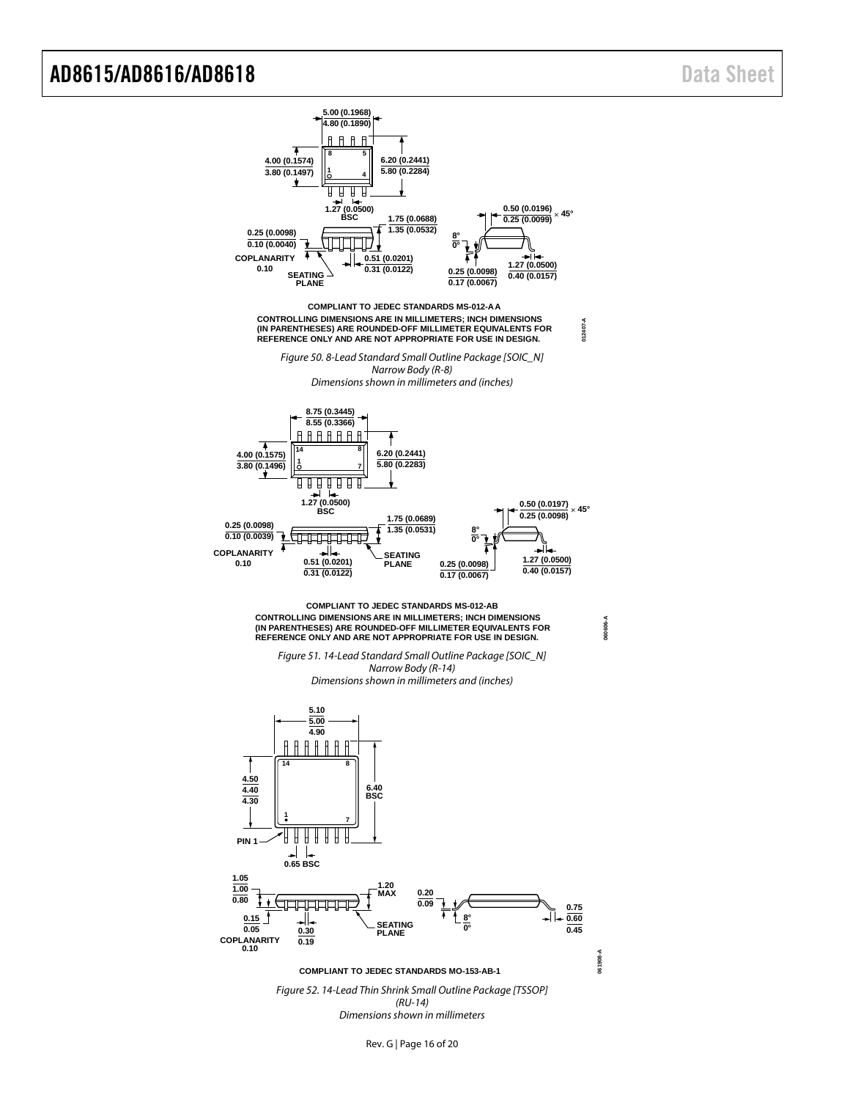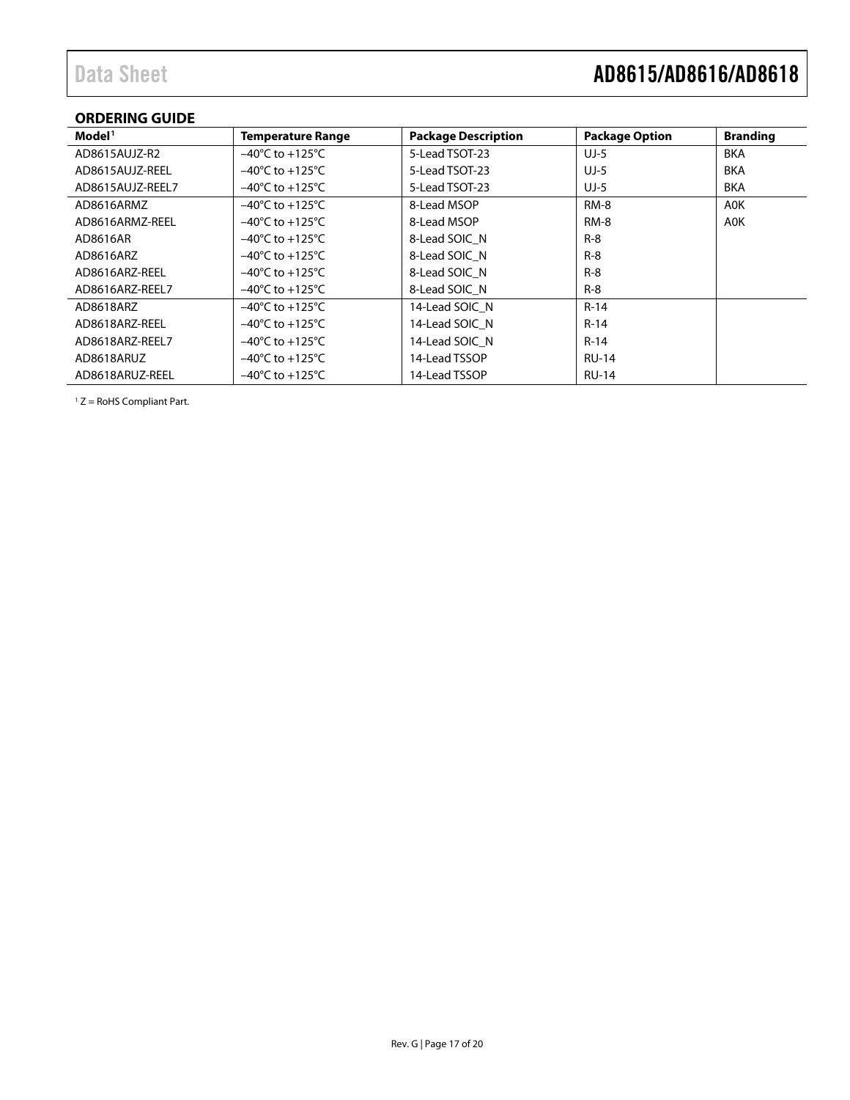# Data Sheet **AD8615/AD8616/AD8618**

## <span id="page-16-0"></span>**ORDERING GUIDE**

| Model <sup>1</sup> | <b>Temperature Range</b>            | <b>Package Description</b> | <b>Package Option</b> | <b>Branding</b> |
|--------------------|-------------------------------------|----------------------------|-----------------------|-----------------|
| AD8615AUJZ-R2      | $-40^{\circ}$ C to $+125^{\circ}$ C | 5-Lead TSOT-23             | $UJ-5$                | <b>BKA</b>      |
| AD8615AUJZ-REEL    | $-40^{\circ}$ C to $+125^{\circ}$ C | 5-Lead TSOT-23             | $UJ-5$                | <b>BKA</b>      |
| AD8615AUJZ-REEL7   | $-40^{\circ}$ C to $+125^{\circ}$ C | 5-Lead TSOT-23             | UJ-5                  | <b>BKA</b>      |
| AD8616ARMZ         | $-40^{\circ}$ C to $+125^{\circ}$ C | 8-Lead MSOP                | RM-8                  | A0K             |
| AD8616ARMZ-REEL    | $-40^{\circ}$ C to $+125^{\circ}$ C | 8-Lead MSOP                | <b>RM-8</b>           | A0K             |
| AD8616AR           | $-40^{\circ}$ C to $+125^{\circ}$ C | 8-Lead SOIC N              | $R-8$                 |                 |
| AD8616ARZ          | $-40^{\circ}$ C to $+125^{\circ}$ C | 8-Lead SOIC N              | $R - 8$               |                 |
| AD8616ARZ-REEL     | $-40^{\circ}$ C to $+125^{\circ}$ C | 8-Lead SOIC N              | $R - 8$               |                 |
| AD8616ARZ-REEL7    | $-40^{\circ}$ C to $+125^{\circ}$ C | 8-Lead SOIC N              | $R-8$                 |                 |
| AD8618ARZ          | $-40^{\circ}$ C to $+125^{\circ}$ C | 14-Lead SOIC N             | $R-14$                |                 |
| AD8618ARZ-REEL     | $-40^{\circ}$ C to $+125^{\circ}$ C | 14-Lead SOIC N             | $R-14$                |                 |
| AD8618ARZ-REEL7    | $-40^{\circ}$ C to $+125^{\circ}$ C | 14-Lead SOIC N             | $R-14$                |                 |
| AD8618ARUZ         | $-40^{\circ}$ C to $+125^{\circ}$ C | 14-Lead TSSOP              | <b>RU-14</b>          |                 |
| AD8618ARUZ-REEL    | $-40^{\circ}$ C to $+125^{\circ}$ C | 14-Lead TSSOP              | <b>RU-14</b>          |                 |

 $1 Z =$  RoHS Compliant Part.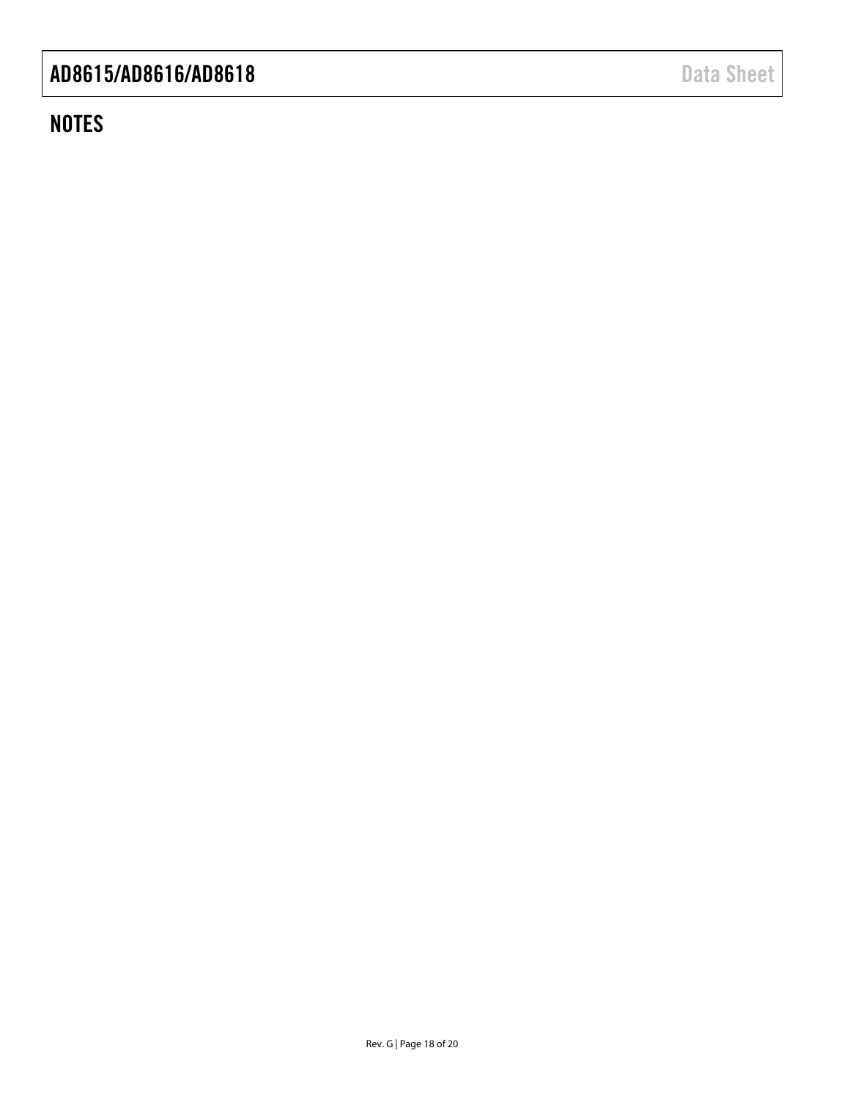## **NOTES**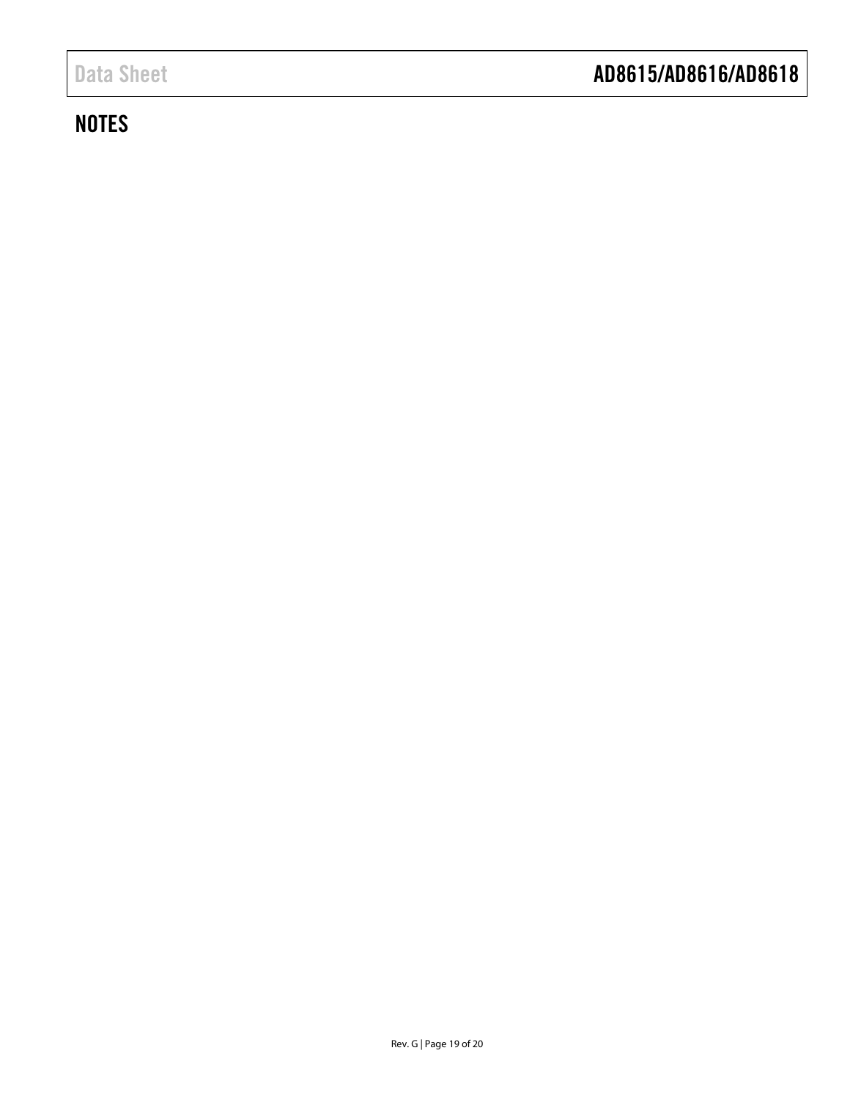## **NOTES**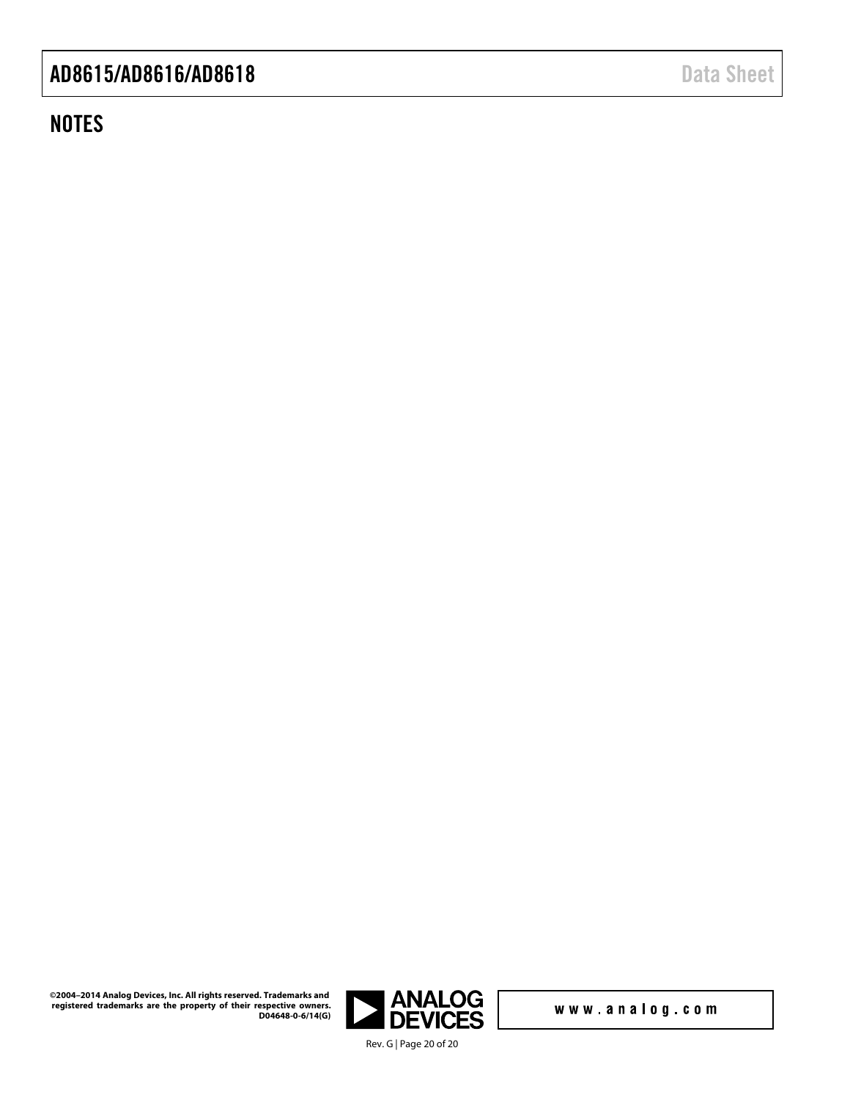## **NOTES**

www.analog.com

Rev. G [| Page 20](http://www.analog.com) of 20